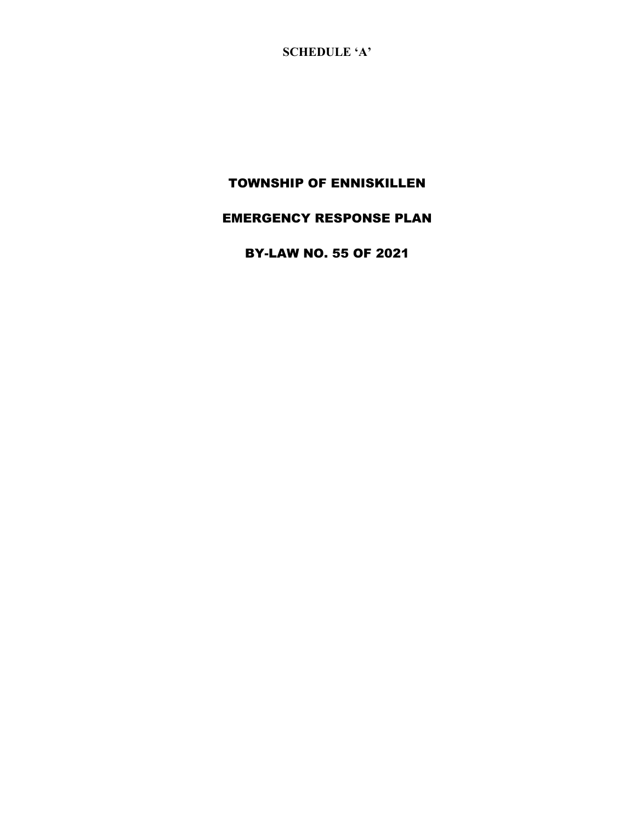**SCHEDULE 'A'**

# TOWNSHIP OF ENNISKILLEN

# EMERGENCY RESPONSE PLAN

BY-LAW NO. 55 OF 2021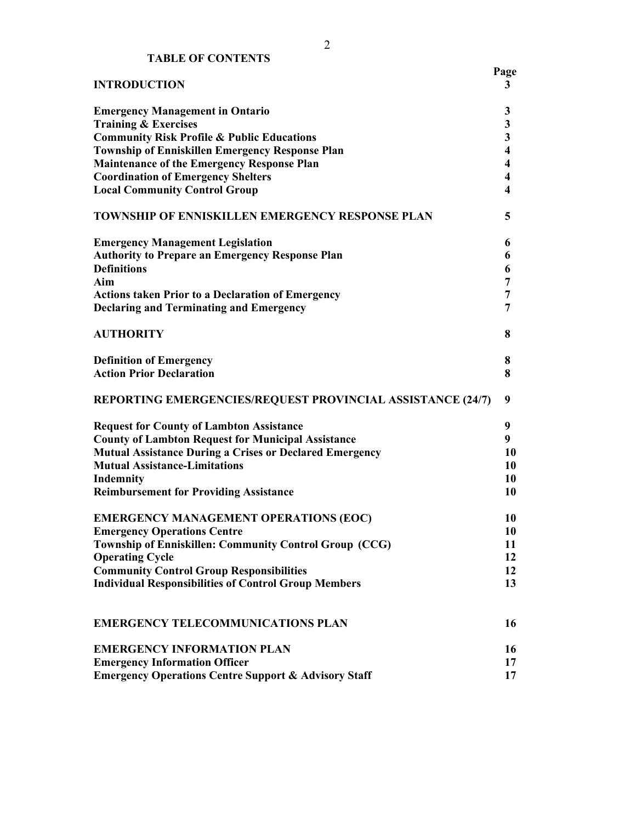| <b>INTRODUCTION</b>                                             | Page<br>3               |
|-----------------------------------------------------------------|-------------------------|
| <b>Emergency Management in Ontario</b>                          | 3                       |
| <b>Training &amp; Exercises</b>                                 | 3                       |
| <b>Community Risk Profile &amp; Public Educations</b>           | $\overline{\mathbf{3}}$ |
| <b>Township of Enniskillen Emergency Response Plan</b>          | $\overline{\mathbf{4}}$ |
| <b>Maintenance of the Emergency Response Plan</b>               | $\overline{\mathbf{4}}$ |
| <b>Coordination of Emergency Shelters</b>                       | $\overline{\mathbf{4}}$ |
| <b>Local Community Control Group</b>                            | $\overline{\mathbf{4}}$ |
| <b>TOWNSHIP OF ENNISKILLEN EMERGENCY RESPONSE PLAN</b>          | 5                       |
| <b>Emergency Management Legislation</b>                         | 6                       |
| <b>Authority to Prepare an Emergency Response Plan</b>          | 6                       |
| <b>Definitions</b>                                              | 6                       |
| Aim                                                             | 7                       |
| <b>Actions taken Prior to a Declaration of Emergency</b>        | 7                       |
| <b>Declaring and Terminating and Emergency</b>                  | 7                       |
| <b>AUTHORITY</b>                                                | 8                       |
| <b>Definition of Emergency</b>                                  | 8                       |
| <b>Action Prior Declaration</b>                                 | 8                       |
| REPORTING EMERGENCIES/REQUEST PROVINCIAL ASSISTANCE (24/7)      | 9                       |
| <b>Request for County of Lambton Assistance</b>                 | 9                       |
| <b>County of Lambton Request for Municipal Assistance</b>       | 9                       |
| <b>Mutual Assistance During a Crises or Declared Emergency</b>  | 10                      |
| <b>Mutual Assistance-Limitations</b>                            | 10                      |
| Indemnity                                                       | 10                      |
| <b>Reimbursement for Providing Assistance</b>                   | 10                      |
| <b>EMERGENCY MANAGEMENT OPERATIONS (EOC)</b>                    | 10                      |
| <b>Emergency Operations Centre</b>                              | 10                      |
| Township of Enniskillen: Community Control Group (CCG)          | 11                      |
| <b>Operating Cycle</b>                                          | 12                      |
| <b>Community Control Group Responsibilities</b>                 | 12                      |
| <b>Individual Responsibilities of Control Group Members</b>     | 13                      |
| <b>EMERGENCY TELECOMMUNICATIONS PLAN</b>                        | 16                      |
| <b>EMERGENCY INFORMATION PLAN</b>                               | 16                      |
| <b>Emergency Information Officer</b>                            | 17                      |
| <b>Emergency Operations Centre Support &amp; Advisory Staff</b> | 17                      |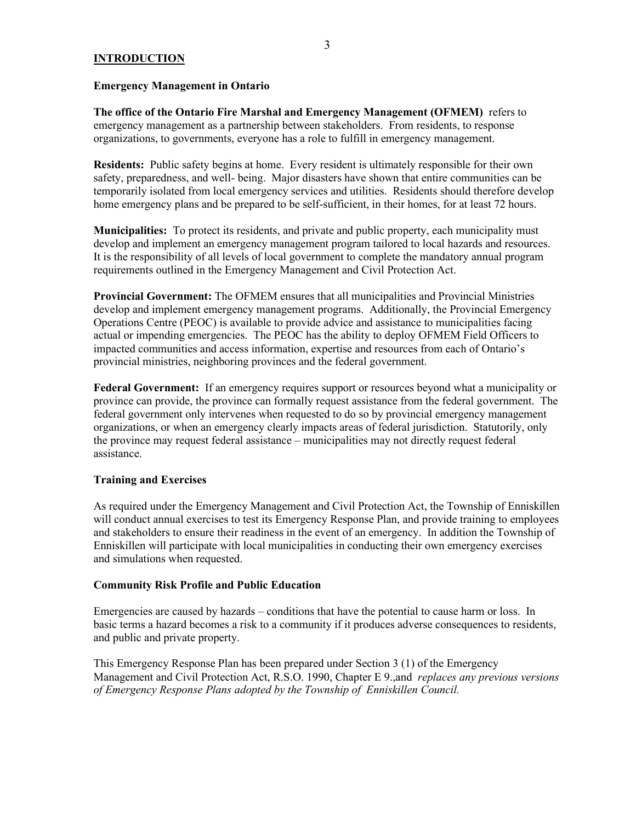#### **INTRODUCTION**

#### **Emergency Management in Ontario**

**The office of the Ontario Fire Marshal and Emergency Management (OFMEM)** refers to emergency management as a partnership between stakeholders. From residents, to response organizations, to governments, everyone has a role to fulfill in emergency management.

**Residents:** Public safety begins at home. Every resident is ultimately responsible for their own safety, preparedness, and well- being. Major disasters have shown that entire communities can be temporarily isolated from local emergency services and utilities. Residents should therefore develop home emergency plans and be prepared to be self-sufficient, in their homes, for at least 72 hours.

**Municipalities:** To protect its residents, and private and public property, each municipality must develop and implement an emergency management program tailored to local hazards and resources. It is the responsibility of all levels of local government to complete the mandatory annual program requirements outlined in the Emergency Management and Civil Protection Act.

**Provincial Government:** The OFMEM ensures that all municipalities and Provincial Ministries develop and implement emergency management programs. Additionally, the Provincial Emergency Operations Centre (PEOC) is available to provide advice and assistance to municipalities facing actual or impending emergencies. The PEOC has the ability to deploy OFMEM Field Officers to impacted communities and access information, expertise and resources from each of Ontario's provincial ministries, neighboring provinces and the federal government.

**Federal Government:** If an emergency requires support or resources beyond what a municipality or province can provide, the province can formally request assistance from the federal government. The federal government only intervenes when requested to do so by provincial emergency management organizations, or when an emergency clearly impacts areas of federal jurisdiction. Statutorily, only the province may request federal assistance – municipalities may not directly request federal assistance.

### **Training and Exercises**

As required under the Emergency Management and Civil Protection Act, the Township of Enniskillen will conduct annual exercises to test its Emergency Response Plan, and provide training to employees and stakeholders to ensure their readiness in the event of an emergency. In addition the Township of Enniskillen will participate with local municipalities in conducting their own emergency exercises and simulations when requested.

#### **Community Risk Profile and Public Education**

Emergencies are caused by hazards – conditions that have the potential to cause harm or loss. In basic terms a hazard becomes a risk to a community if it produces adverse consequences to residents, and public and private property.

This Emergency Response Plan has been prepared under Section 3 (1) of the Emergency Management and Civil Protection Act, R.S.O. 1990, Chapter E 9.,and *replaces any previous versions of Emergency Response Plans adopted by the Township of Enniskillen Council.*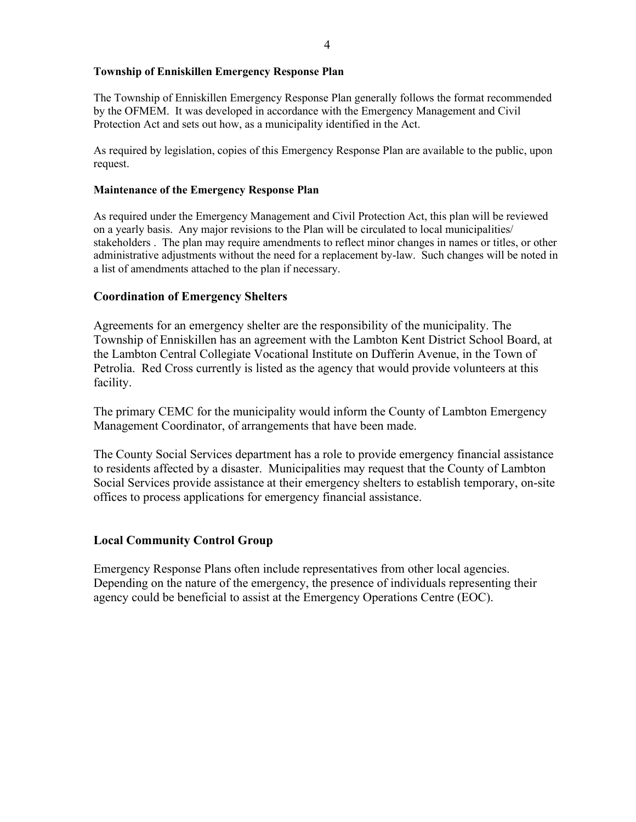### **Township of Enniskillen Emergency Response Plan**

The Township of Enniskillen Emergency Response Plan generally follows the format recommended by the OFMEM. It was developed in accordance with the Emergency Management and Civil Protection Act and sets out how, as a municipality identified in the Act.

As required by legislation, copies of this Emergency Response Plan are available to the public, upon request.

## **Maintenance of the Emergency Response Plan**

As required under the Emergency Management and Civil Protection Act, this plan will be reviewed on a yearly basis. Any major revisions to the Plan will be circulated to local municipalities/ stakeholders . The plan may require amendments to reflect minor changes in names or titles, or other administrative adjustments without the need for a replacement by-law. Such changes will be noted in a list of amendments attached to the plan if necessary.

# **Coordination of Emergency Shelters**

Agreements for an emergency shelter are the responsibility of the municipality. The Township of Enniskillen has an agreement with the Lambton Kent District School Board, at the Lambton Central Collegiate Vocational Institute on Dufferin Avenue, in the Town of Petrolia. Red Cross currently is listed as the agency that would provide volunteers at this facility.

The primary CEMC for the municipality would inform the County of Lambton Emergency Management Coordinator, of arrangements that have been made.

The County Social Services department has a role to provide emergency financial assistance to residents affected by a disaster. Municipalities may request that the County of Lambton Social Services provide assistance at their emergency shelters to establish temporary, on-site offices to process applications for emergency financial assistance.

# **Local Community Control Group**

Emergency Response Plans often include representatives from other local agencies. Depending on the nature of the emergency, the presence of individuals representing their agency could be beneficial to assist at the Emergency Operations Centre (EOC).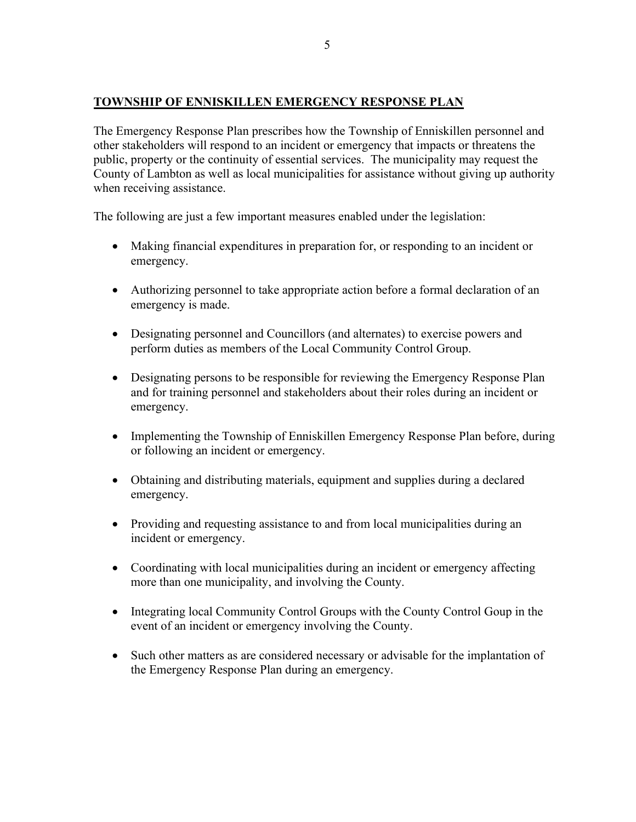# **TOWNSHIP OF ENNISKILLEN EMERGENCY RESPONSE PLAN**

The Emergency Response Plan prescribes how the Township of Enniskillen personnel and other stakeholders will respond to an incident or emergency that impacts or threatens the public, property or the continuity of essential services. The municipality may request the County of Lambton as well as local municipalities for assistance without giving up authority when receiving assistance.

The following are just a few important measures enabled under the legislation:

- Making financial expenditures in preparation for, or responding to an incident or emergency.
- Authorizing personnel to take appropriate action before a formal declaration of an emergency is made.
- Designating personnel and Councillors (and alternates) to exercise powers and perform duties as members of the Local Community Control Group.
- Designating persons to be responsible for reviewing the Emergency Response Plan and for training personnel and stakeholders about their roles during an incident or emergency.
- Implementing the Township of Enniskillen Emergency Response Plan before, during or following an incident or emergency.
- Obtaining and distributing materials, equipment and supplies during a declared emergency.
- Providing and requesting assistance to and from local municipalities during an incident or emergency.
- Coordinating with local municipalities during an incident or emergency affecting more than one municipality, and involving the County.
- Integrating local Community Control Groups with the County Control Goup in the event of an incident or emergency involving the County.
- Such other matters as are considered necessary or advisable for the implantation of the Emergency Response Plan during an emergency.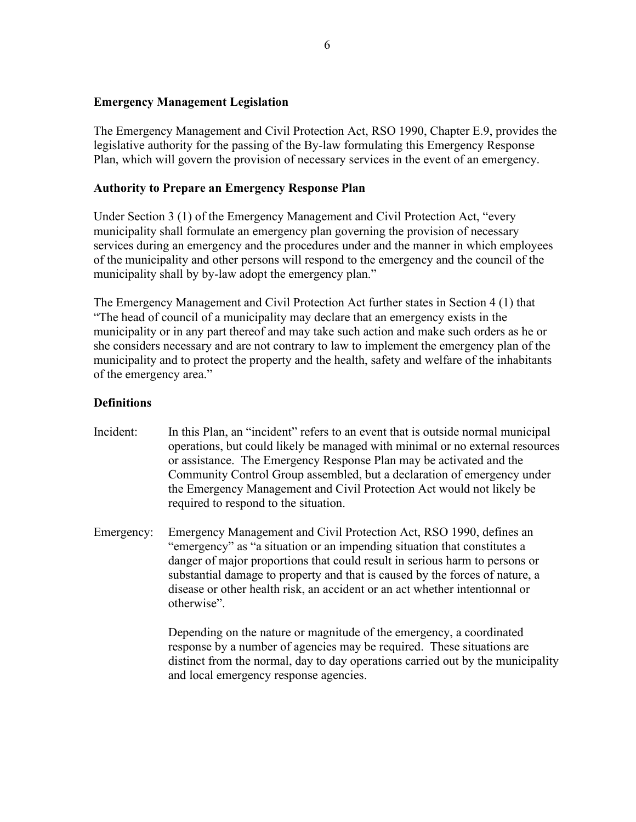# **Emergency Management Legislation**

The Emergency Management and Civil Protection Act, RSO 1990, Chapter E.9, provides the legislative authority for the passing of the By-law formulating this Emergency Response Plan, which will govern the provision of necessary services in the event of an emergency.

# **Authority to Prepare an Emergency Response Plan**

Under Section 3 (1) of the Emergency Management and Civil Protection Act, "every municipality shall formulate an emergency plan governing the provision of necessary services during an emergency and the procedures under and the manner in which employees of the municipality and other persons will respond to the emergency and the council of the municipality shall by by-law adopt the emergency plan."

The Emergency Management and Civil Protection Act further states in Section 4 (1) that "The head of council of a municipality may declare that an emergency exists in the municipality or in any part thereof and may take such action and make such orders as he or she considers necessary and are not contrary to law to implement the emergency plan of the municipality and to protect the property and the health, safety and welfare of the inhabitants of the emergency area."

# **Definitions**

- Incident: In this Plan, an "incident" refers to an event that is outside normal municipal operations, but could likely be managed with minimal or no external resources or assistance. The Emergency Response Plan may be activated and the Community Control Group assembled, but a declaration of emergency under the Emergency Management and Civil Protection Act would not likely be required to respond to the situation.
- Emergency: Emergency Management and Civil Protection Act, RSO 1990, defines an "emergency" as "a situation or an impending situation that constitutes a danger of major proportions that could result in serious harm to persons or substantial damage to property and that is caused by the forces of nature, a disease or other health risk, an accident or an act whether intentionnal or otherwise".

Depending on the nature or magnitude of the emergency, a coordinated response by a number of agencies may be required. These situations are distinct from the normal, day to day operations carried out by the municipality and local emergency response agencies.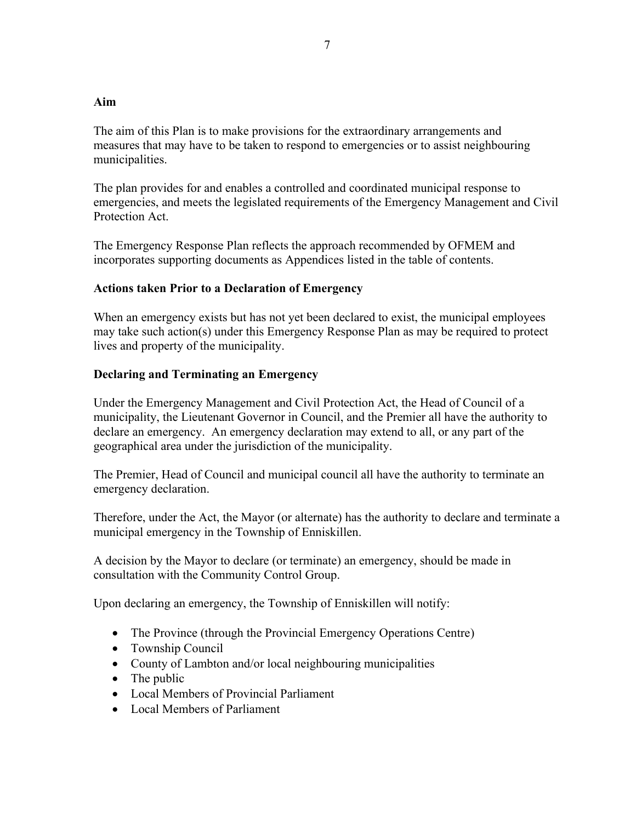# **Aim**

The aim of this Plan is to make provisions for the extraordinary arrangements and measures that may have to be taken to respond to emergencies or to assist neighbouring municipalities.

The plan provides for and enables a controlled and coordinated municipal response to emergencies, and meets the legislated requirements of the Emergency Management and Civil Protection Act.

The Emergency Response Plan reflects the approach recommended by OFMEM and incorporates supporting documents as Appendices listed in the table of contents.

# **Actions taken Prior to a Declaration of Emergency**

When an emergency exists but has not yet been declared to exist, the municipal employees may take such action(s) under this Emergency Response Plan as may be required to protect lives and property of the municipality.

# **Declaring and Terminating an Emergency**

Under the Emergency Management and Civil Protection Act, the Head of Council of a municipality, the Lieutenant Governor in Council, and the Premier all have the authority to declare an emergency. An emergency declaration may extend to all, or any part of the geographical area under the jurisdiction of the municipality.

The Premier, Head of Council and municipal council all have the authority to terminate an emergency declaration.

Therefore, under the Act, the Mayor (or alternate) has the authority to declare and terminate a municipal emergency in the Township of Enniskillen.

A decision by the Mayor to declare (or terminate) an emergency, should be made in consultation with the Community Control Group.

Upon declaring an emergency, the Township of Enniskillen will notify:

- The Province (through the Provincial Emergency Operations Centre)
- Township Council
- County of Lambton and/or local neighbouring municipalities
- The public
- Local Members of Provincial Parliament
- Local Members of Parliament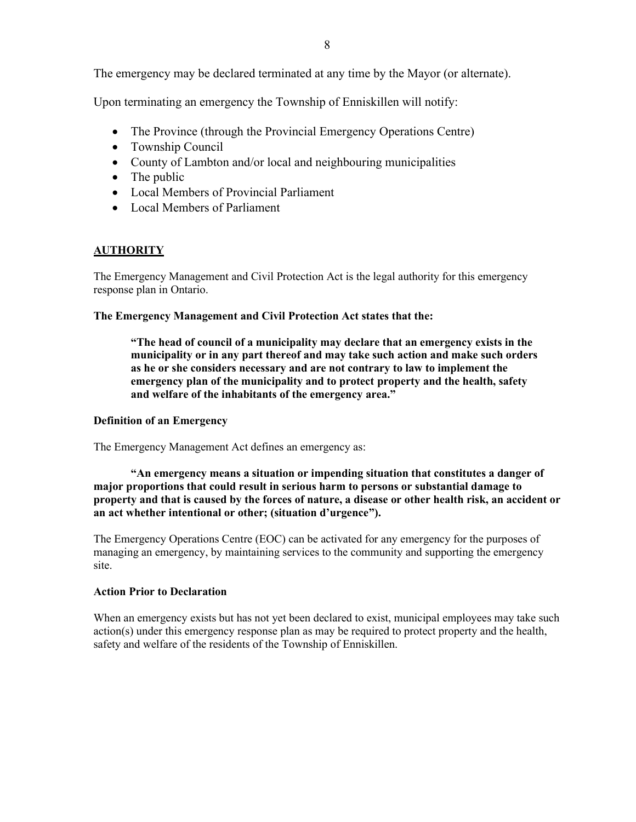The emergency may be declared terminated at any time by the Mayor (or alternate).

Upon terminating an emergency the Township of Enniskillen will notify:

- The Province (through the Provincial Emergency Operations Centre)
- Township Council
- County of Lambton and/or local and neighbouring municipalities
- The public
- Local Members of Provincial Parliament
- Local Members of Parliament

# **AUTHORITY**

The Emergency Management and Civil Protection Act is the legal authority for this emergency response plan in Ontario.

### **The Emergency Management and Civil Protection Act states that the:**

**"The head of council of a municipality may declare that an emergency exists in the municipality or in any part thereof and may take such action and make such orders as he or she considers necessary and are not contrary to law to implement the emergency plan of the municipality and to protect property and the health, safety and welfare of the inhabitants of the emergency area."**

### **Definition of an Emergency**

The Emergency Management Act defines an emergency as:

**"An emergency means a situation or impending situation that constitutes a danger of major proportions that could result in serious harm to persons or substantial damage to property and that is caused by the forces of nature, a disease or other health risk, an accident or an act whether intentional or other; (situation d'urgence").**

The Emergency Operations Centre (EOC) can be activated for any emergency for the purposes of managing an emergency, by maintaining services to the community and supporting the emergency site.

### **Action Prior to Declaration**

When an emergency exists but has not yet been declared to exist, municipal employees may take such action(s) under this emergency response plan as may be required to protect property and the health, safety and welfare of the residents of the Township of Enniskillen.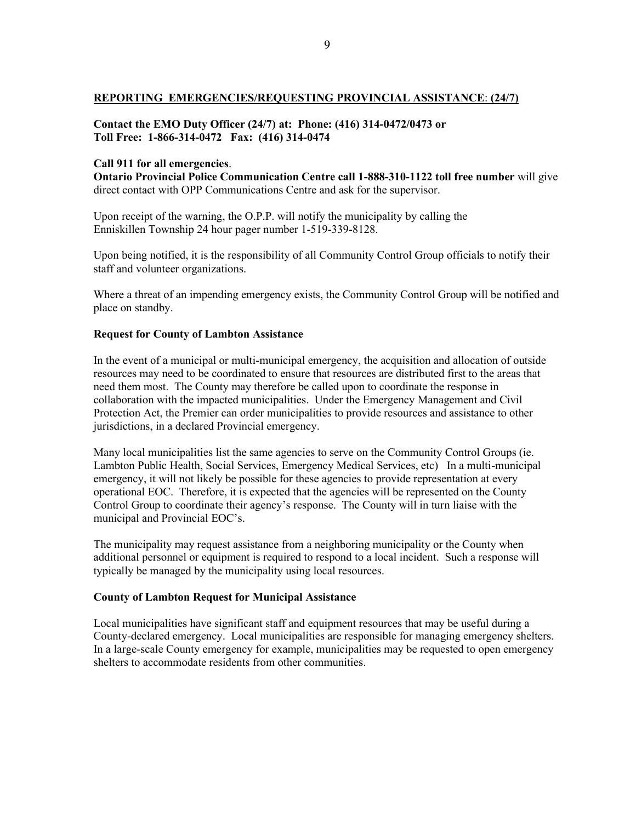#### **REPORTING EMERGENCIES/REQUESTING PROVINCIAL ASSISTANCE**: **(24/7)**

### **Contact the EMO Duty Officer (24/7) at: Phone: (416) 314-0472/0473 or Toll Free: 1-866-314-0472 Fax: (416) 314-0474**

#### **Call 911 for all emergencies**.

**Ontario Provincial Police Communication Centre call 1-888-310-1122 toll free number** will give direct contact with OPP Communications Centre and ask for the supervisor.

Upon receipt of the warning, the O.P.P. will notify the municipality by calling the Enniskillen Township 24 hour pager number 1-519-339-8128.

Upon being notified, it is the responsibility of all Community Control Group officials to notify their staff and volunteer organizations.

Where a threat of an impending emergency exists, the Community Control Group will be notified and place on standby.

#### **Request for County of Lambton Assistance**

In the event of a municipal or multi-municipal emergency, the acquisition and allocation of outside resources may need to be coordinated to ensure that resources are distributed first to the areas that need them most. The County may therefore be called upon to coordinate the response in collaboration with the impacted municipalities. Under the Emergency Management and Civil Protection Act, the Premier can order municipalities to provide resources and assistance to other jurisdictions, in a declared Provincial emergency.

Many local municipalities list the same agencies to serve on the Community Control Groups (ie. Lambton Public Health, Social Services, Emergency Medical Services, etc) In a multi-municipal emergency, it will not likely be possible for these agencies to provide representation at every operational EOC. Therefore, it is expected that the agencies will be represented on the County Control Group to coordinate their agency's response. The County will in turn liaise with the municipal and Provincial EOC's.

The municipality may request assistance from a neighboring municipality or the County when additional personnel or equipment is required to respond to a local incident. Such a response will typically be managed by the municipality using local resources.

#### **County of Lambton Request for Municipal Assistance**

Local municipalities have significant staff and equipment resources that may be useful during a County-declared emergency. Local municipalities are responsible for managing emergency shelters. In a large-scale County emergency for example, municipalities may be requested to open emergency shelters to accommodate residents from other communities.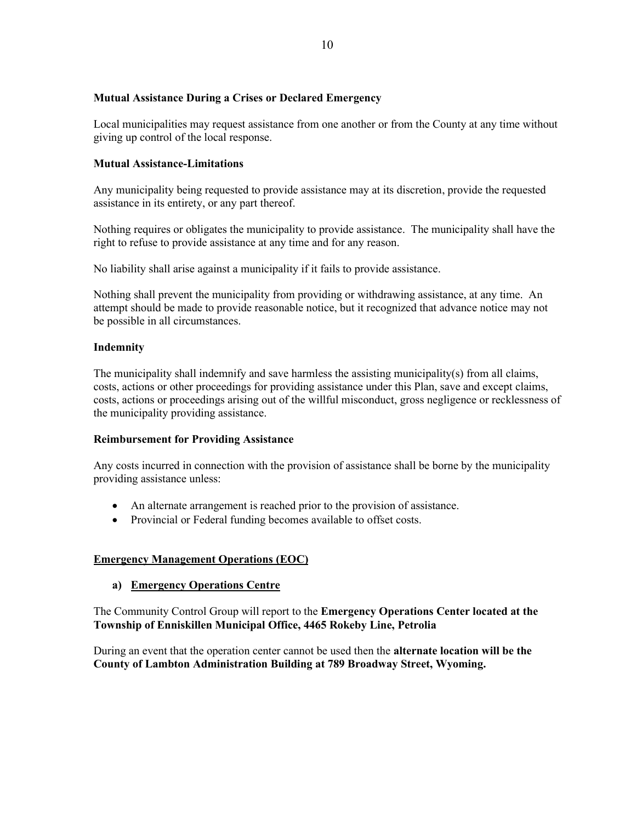### **Mutual Assistance During a Crises or Declared Emergency**

Local municipalities may request assistance from one another or from the County at any time without giving up control of the local response.

## **Mutual Assistance-Limitations**

Any municipality being requested to provide assistance may at its discretion, provide the requested assistance in its entirety, or any part thereof.

Nothing requires or obligates the municipality to provide assistance. The municipality shall have the right to refuse to provide assistance at any time and for any reason.

No liability shall arise against a municipality if it fails to provide assistance.

Nothing shall prevent the municipality from providing or withdrawing assistance, at any time. An attempt should be made to provide reasonable notice, but it recognized that advance notice may not be possible in all circumstances.

### **Indemnity**

The municipality shall indemnify and save harmless the assisting municipality(s) from all claims, costs, actions or other proceedings for providing assistance under this Plan, save and except claims, costs, actions or proceedings arising out of the willful misconduct, gross negligence or recklessness of the municipality providing assistance.

### **Reimbursement for Providing Assistance**

Any costs incurred in connection with the provision of assistance shall be borne by the municipality providing assistance unless:

- An alternate arrangement is reached prior to the provision of assistance.
- Provincial or Federal funding becomes available to offset costs.

### **Emergency Management Operations (EOC)**

### **a) Emergency Operations Centre**

The Community Control Group will report to the **Emergency Operations Center located at the Township of Enniskillen Municipal Office, 4465 Rokeby Line, Petrolia**

During an event that the operation center cannot be used then the **alternate location will be the County of Lambton Administration Building at 789 Broadway Street, Wyoming.**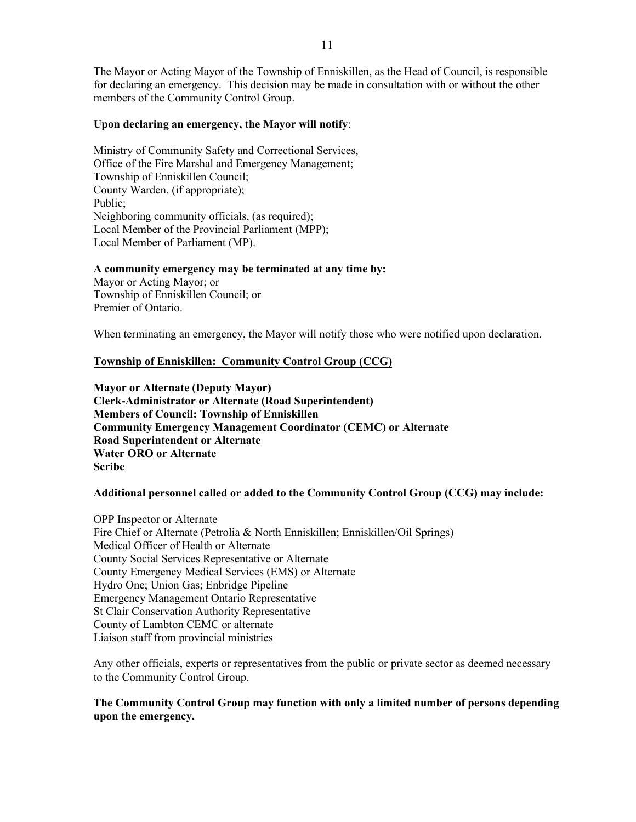The Mayor or Acting Mayor of the Township of Enniskillen, as the Head of Council, is responsible for declaring an emergency. This decision may be made in consultation with or without the other members of the Community Control Group.

#### **Upon declaring an emergency, the Mayor will notify**:

Ministry of Community Safety and Correctional Services, Office of the Fire Marshal and Emergency Management; Township of Enniskillen Council; County Warden, (if appropriate); Public; Neighboring community officials, (as required); Local Member of the Provincial Parliament (MPP); Local Member of Parliament (MP).

#### **A community emergency may be terminated at any time by:**

Mayor or Acting Mayor; or Township of Enniskillen Council; or Premier of Ontario.

When terminating an emergency, the Mayor will notify those who were notified upon declaration.

#### **Township of Enniskillen: Community Control Group (CCG)**

**Mayor or Alternate (Deputy Mayor) Clerk-Administrator or Alternate (Road Superintendent) Members of Council: Township of Enniskillen Community Emergency Management Coordinator (CEMC) or Alternate Road Superintendent or Alternate Water ORO or Alternate Scribe**

#### **Additional personnel called or added to the Community Control Group (CCG) may include:**

OPP Inspector or Alternate Fire Chief or Alternate (Petrolia & North Enniskillen; Enniskillen/Oil Springs) Medical Officer of Health or Alternate County Social Services Representative or Alternate County Emergency Medical Services (EMS) or Alternate Hydro One; Union Gas; Enbridge Pipeline Emergency Management Ontario Representative St Clair Conservation Authority Representative County of Lambton CEMC or alternate Liaison staff from provincial ministries

Any other officials, experts or representatives from the public or private sector as deemed necessary to the Community Control Group.

### **The Community Control Group may function with only a limited number of persons depending upon the emergency.**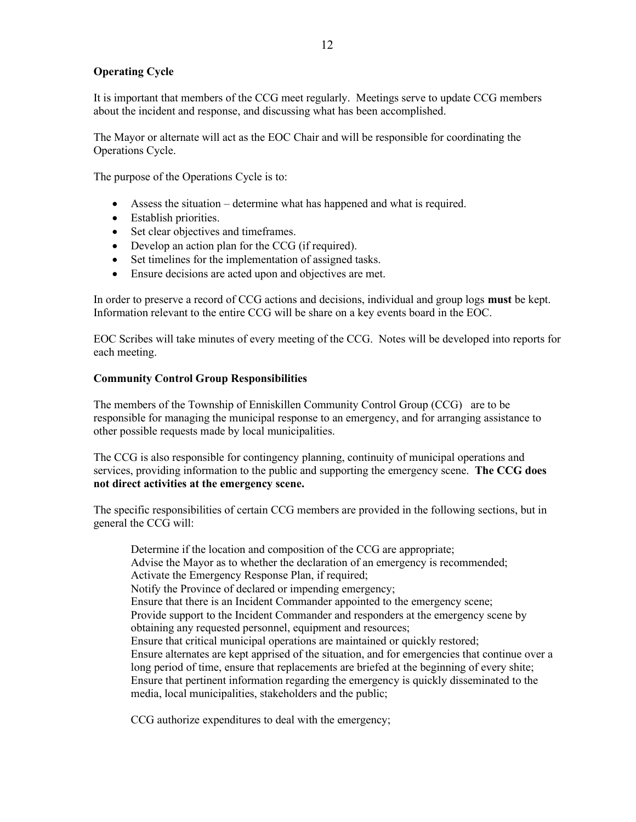## **Operating Cycle**

It is important that members of the CCG meet regularly. Meetings serve to update CCG members about the incident and response, and discussing what has been accomplished.

The Mayor or alternate will act as the EOC Chair and will be responsible for coordinating the Operations Cycle.

The purpose of the Operations Cycle is to:

- Assess the situation determine what has happened and what is required.
- Establish priorities.
- Set clear objectives and timeframes.
- Develop an action plan for the CCG (if required).
- Set timelines for the implementation of assigned tasks.
- Ensure decisions are acted upon and objectives are met.

In order to preserve a record of CCG actions and decisions, individual and group logs **must** be kept. Information relevant to the entire CCG will be share on a key events board in the EOC.

EOC Scribes will take minutes of every meeting of the CCG. Notes will be developed into reports for each meeting.

#### **Community Control Group Responsibilities**

The members of the Township of Enniskillen Community Control Group (CCG) are to be responsible for managing the municipal response to an emergency, and for arranging assistance to other possible requests made by local municipalities.

The CCG is also responsible for contingency planning, continuity of municipal operations and services, providing information to the public and supporting the emergency scene. **The CCG does not direct activities at the emergency scene.**

The specific responsibilities of certain CCG members are provided in the following sections, but in general the CCG will:

Determine if the location and composition of the CCG are appropriate; Advise the Mayor as to whether the declaration of an emergency is recommended; Activate the Emergency Response Plan, if required; Notify the Province of declared or impending emergency; Ensure that there is an Incident Commander appointed to the emergency scene; Provide support to the Incident Commander and responders at the emergency scene by obtaining any requested personnel, equipment and resources; Ensure that critical municipal operations are maintained or quickly restored; Ensure alternates are kept apprised of the situation, and for emergencies that continue over a long period of time, ensure that replacements are briefed at the beginning of every shite; Ensure that pertinent information regarding the emergency is quickly disseminated to the media, local municipalities, stakeholders and the public;

CCG authorize expenditures to deal with the emergency;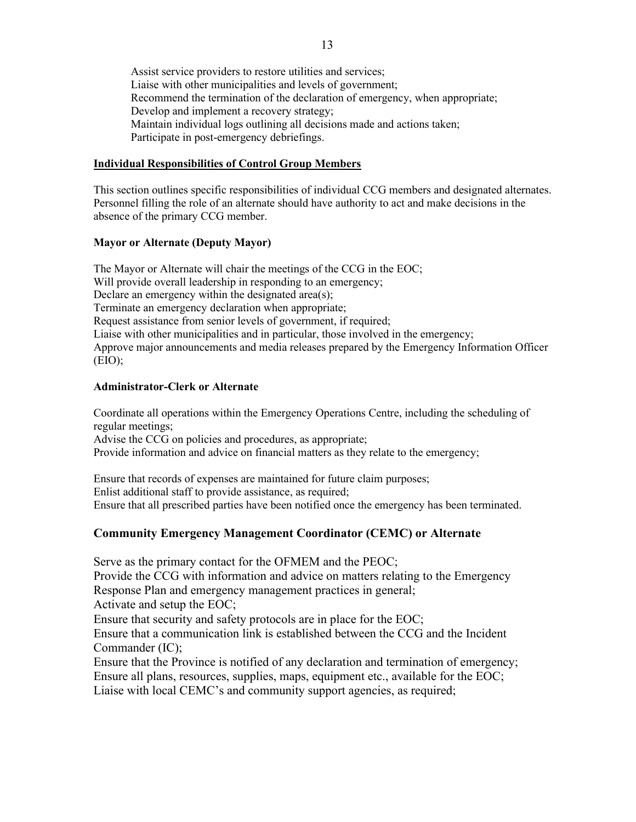Assist service providers to restore utilities and services; Liaise with other municipalities and levels of government; Recommend the termination of the declaration of emergency, when appropriate; Develop and implement a recovery strategy; Maintain individual logs outlining all decisions made and actions taken; Participate in post-emergency debriefings.

### **Individual Responsibilities of Control Group Members**

This section outlines specific responsibilities of individual CCG members and designated alternates. Personnel filling the role of an alternate should have authority to act and make decisions in the absence of the primary CCG member.

## **Mayor or Alternate (Deputy Mayor)**

The Mayor or Alternate will chair the meetings of the CCG in the EOC; Will provide overall leadership in responding to an emergency; Declare an emergency within the designated area(s); Terminate an emergency declaration when appropriate; Request assistance from senior levels of government, if required; Liaise with other municipalities and in particular, those involved in the emergency; Approve major announcements and media releases prepared by the Emergency Information Officer  $(EIO);$ 

## **Administrator-Clerk or Alternate**

Coordinate all operations within the Emergency Operations Centre, including the scheduling of regular meetings;

Advise the CCG on policies and procedures, as appropriate;

Provide information and advice on financial matters as they relate to the emergency;

Ensure that records of expenses are maintained for future claim purposes; Enlist additional staff to provide assistance, as required; Ensure that all prescribed parties have been notified once the emergency has been terminated.

# **Community Emergency Management Coordinator (CEMC) or Alternate**

Serve as the primary contact for the OFMEM and the PEOC; Provide the CCG with information and advice on matters relating to the Emergency Response Plan and emergency management practices in general; Activate and setup the EOC; Ensure that security and safety protocols are in place for the EOC; Ensure that a communication link is established between the CCG and the Incident Commander (IC);

Ensure that the Province is notified of any declaration and termination of emergency; Ensure all plans, resources, supplies, maps, equipment etc., available for the EOC; Liaise with local CEMC's and community support agencies, as required: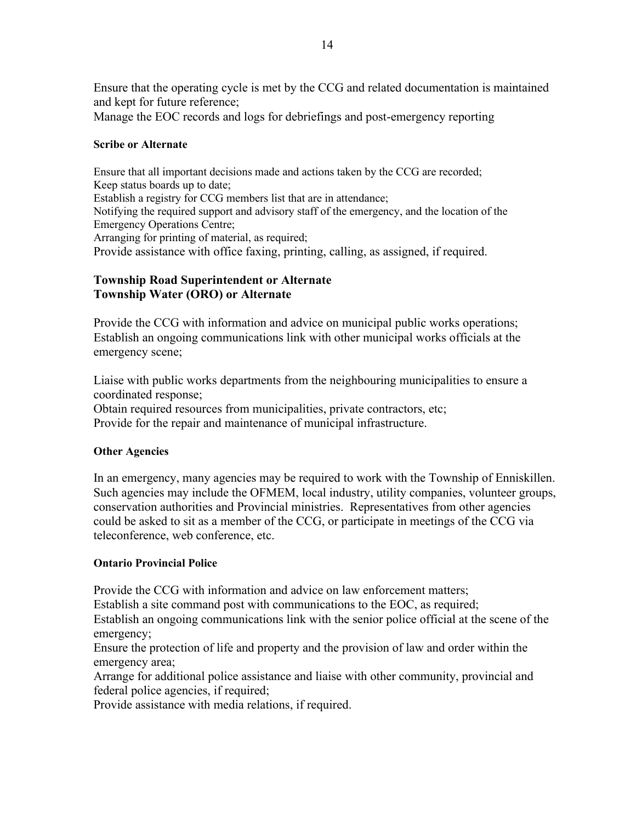Ensure that the operating cycle is met by the CCG and related documentation is maintained and kept for future reference;

Manage the EOC records and logs for debriefings and post-emergency reporting

# **Scribe or Alternate**

Ensure that all important decisions made and actions taken by the CCG are recorded; Keep status boards up to date; Establish a registry for CCG members list that are in attendance; Notifying the required support and advisory staff of the emergency, and the location of the Emergency Operations Centre; Arranging for printing of material, as required; Provide assistance with office faxing, printing, calling, as assigned, if required.

# **Township Road Superintendent or Alternate Township Water (ORO) or Alternate**

Provide the CCG with information and advice on municipal public works operations; Establish an ongoing communications link with other municipal works officials at the emergency scene;

Liaise with public works departments from the neighbouring municipalities to ensure a coordinated response;

Obtain required resources from municipalities, private contractors, etc; Provide for the repair and maintenance of municipal infrastructure.

# **Other Agencies**

In an emergency, many agencies may be required to work with the Township of Enniskillen. Such agencies may include the OFMEM, local industry, utility companies, volunteer groups, conservation authorities and Provincial ministries. Representatives from other agencies could be asked to sit as a member of the CCG, or participate in meetings of the CCG via teleconference, web conference, etc.

# **Ontario Provincial Police**

Provide the CCG with information and advice on law enforcement matters;

Establish a site command post with communications to the EOC, as required;

Establish an ongoing communications link with the senior police official at the scene of the emergency;

Ensure the protection of life and property and the provision of law and order within the emergency area;

Arrange for additional police assistance and liaise with other community, provincial and federal police agencies, if required;

Provide assistance with media relations, if required.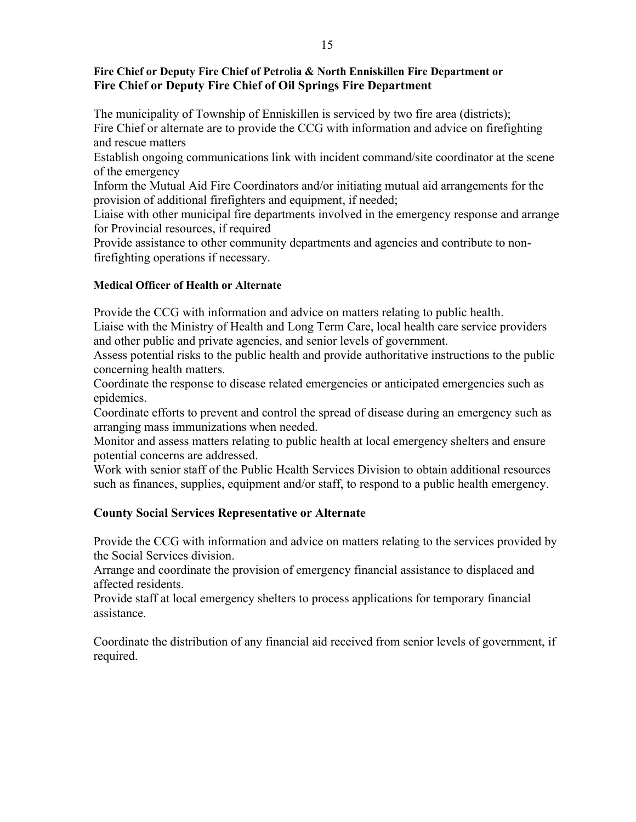# **Fire Chief or Deputy Fire Chief of Petrolia & North Enniskillen Fire Department or Fire Chief or Deputy Fire Chief of Oil Springs Fire Department**

The municipality of Township of Enniskillen is serviced by two fire area (districts); Fire Chief or alternate are to provide the CCG with information and advice on firefighting and rescue matters

Establish ongoing communications link with incident command/site coordinator at the scene of the emergency

Inform the Mutual Aid Fire Coordinators and/or initiating mutual aid arrangements for the provision of additional firefighters and equipment, if needed;

Liaise with other municipal fire departments involved in the emergency response and arrange for Provincial resources, if required

Provide assistance to other community departments and agencies and contribute to nonfirefighting operations if necessary.

# **Medical Officer of Health or Alternate**

Provide the CCG with information and advice on matters relating to public health.

Liaise with the Ministry of Health and Long Term Care, local health care service providers and other public and private agencies, and senior levels of government.

Assess potential risks to the public health and provide authoritative instructions to the public concerning health matters.

Coordinate the response to disease related emergencies or anticipated emergencies such as epidemics.

Coordinate efforts to prevent and control the spread of disease during an emergency such as arranging mass immunizations when needed.

Monitor and assess matters relating to public health at local emergency shelters and ensure potential concerns are addressed.

Work with senior staff of the Public Health Services Division to obtain additional resources such as finances, supplies, equipment and/or staff, to respond to a public health emergency.

# **County Social Services Representative or Alternate**

Provide the CCG with information and advice on matters relating to the services provided by the Social Services division.

Arrange and coordinate the provision of emergency financial assistance to displaced and affected residents.

Provide staff at local emergency shelters to process applications for temporary financial assistance.

Coordinate the distribution of any financial aid received from senior levels of government, if required.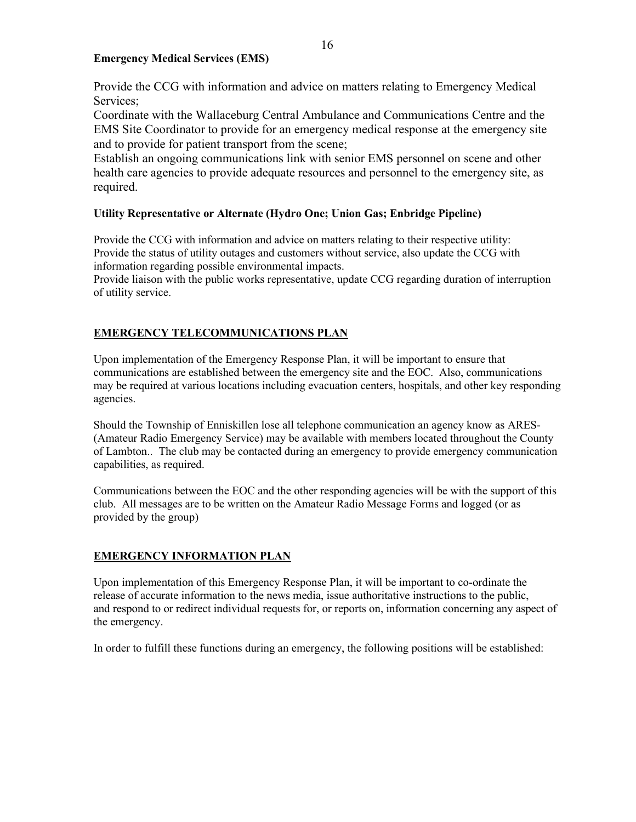### **Emergency Medical Services (EMS)**

Provide the CCG with information and advice on matters relating to Emergency Medical Services;

Coordinate with the Wallaceburg Central Ambulance and Communications Centre and the EMS Site Coordinator to provide for an emergency medical response at the emergency site and to provide for patient transport from the scene;

Establish an ongoing communications link with senior EMS personnel on scene and other health care agencies to provide adequate resources and personnel to the emergency site, as required.

# **Utility Representative or Alternate (Hydro One; Union Gas; Enbridge Pipeline)**

Provide the CCG with information and advice on matters relating to their respective utility: Provide the status of utility outages and customers without service, also update the CCG with information regarding possible environmental impacts.

Provide liaison with the public works representative, update CCG regarding duration of interruption of utility service.

# **EMERGENCY TELECOMMUNICATIONS PLAN**

Upon implementation of the Emergency Response Plan, it will be important to ensure that communications are established between the emergency site and the EOC. Also, communications may be required at various locations including evacuation centers, hospitals, and other key responding agencies.

Should the Township of Enniskillen lose all telephone communication an agency know as ARES- (Amateur Radio Emergency Service) may be available with members located throughout the County of Lambton.. The club may be contacted during an emergency to provide emergency communication capabilities, as required.

Communications between the EOC and the other responding agencies will be with the support of this club. All messages are to be written on the Amateur Radio Message Forms and logged (or as provided by the group)

# **EMERGENCY INFORMATION PLAN**

Upon implementation of this Emergency Response Plan, it will be important to co-ordinate the release of accurate information to the news media, issue authoritative instructions to the public, and respond to or redirect individual requests for, or reports on, information concerning any aspect of the emergency.

In order to fulfill these functions during an emergency, the following positions will be established: